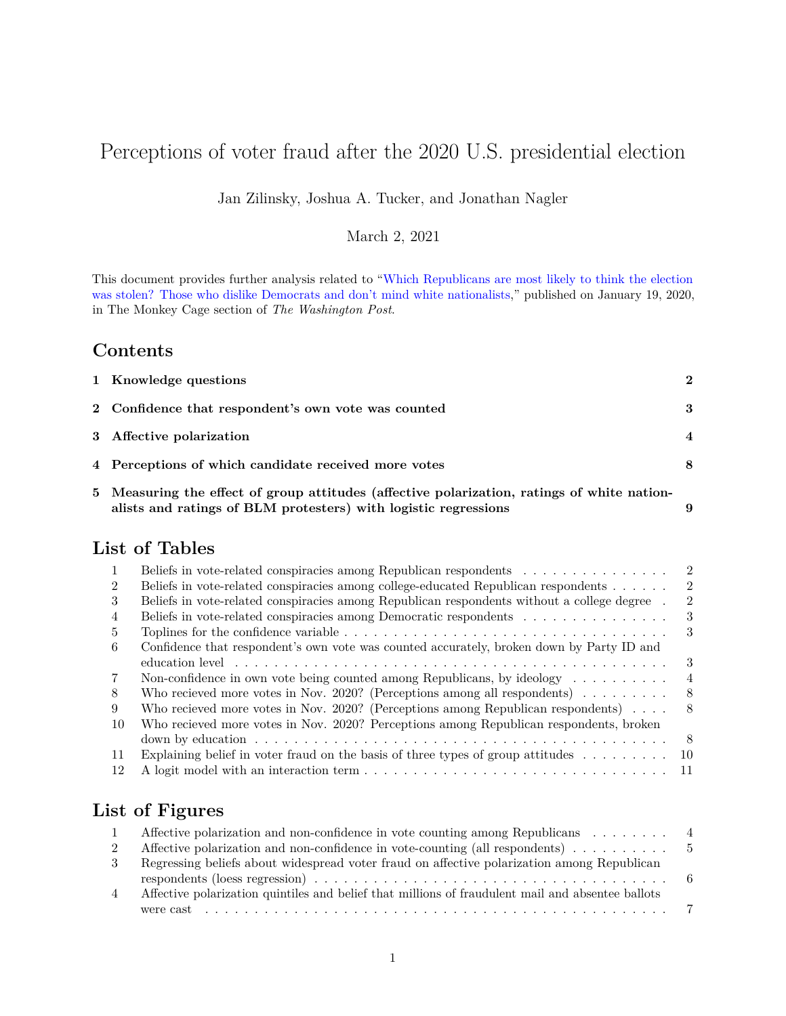# Perceptions of voter fraud after the 2020 U.S. presidential election

Jan Zilinsky, Joshua A. Tucker, and Jonathan Nagler

#### March 2, 2021

This document provides further analysis related to ["Which Republicans are most likely to think the election](https://www.washingtonpost.com/politics/2021/01/19/which-republicans-think-election-was-stolen-those-who-hate-democrats-dont-mind-white-nationalists/) [was stolen? Those who dislike Democrats and don't mind white nationalists,](https://www.washingtonpost.com/politics/2021/01/19/which-republicans-think-election-was-stolen-those-who-hate-democrats-dont-mind-white-nationalists/)" published on January 19, 2020, in The Monkey Cage section of *The Washington Post*.

#### **Contents**

| 1 Knowledge questions                                                                       | $\mathbf{2}$     |
|---------------------------------------------------------------------------------------------|------------------|
| 2 Confidence that respondent's own vote was counted                                         | 3                |
| 3 Affective polarization                                                                    | $\boldsymbol{4}$ |
| 4 Perceptions of which candidate received more votes                                        | 8                |
| 5 Measuring the effect of group attitudes (affective polarization, ratings of white nation- |                  |

| $\sim$ recommends one critics or group assistance (ancess, e point masses), rather in more masses. |  |
|----------------------------------------------------------------------------------------------------|--|
| alists and ratings of BLM protesters) with logistic regressions                                    |  |

## **List of Tables**

|                | Beliefs in vote-related conspiracies among Republican respondents                                                                                                                                                              | $\overline{2}$ |
|----------------|--------------------------------------------------------------------------------------------------------------------------------------------------------------------------------------------------------------------------------|----------------|
| $\overline{2}$ | Beliefs in vote-related conspiracies among college-educated Republican respondents                                                                                                                                             | $\mathcal{D}$  |
| 3              | Beliefs in vote-related conspiracies among Republican respondents without a college degree.                                                                                                                                    | 2              |
| 4              | Beliefs in vote-related conspiracies among Democratic respondents                                                                                                                                                              | 3              |
| 5              | Toplines for the confidence variable $\dots \dots \dots \dots \dots \dots \dots \dots \dots \dots \dots \dots \dots \dots$                                                                                                     | 3              |
| 6              | Confidence that respondent's own vote was counted accurately, broken down by Party ID and                                                                                                                                      |                |
|                | education level experience in the server is a server in the server in the server in the server in the server in the server in the server in the server in the server in the server in the server in the server in the server i | 3              |
| 7              | Non-confidence in own vote being counted among Republicans, by ideology $\dots \dots \dots$                                                                                                                                    | 4              |
| 8              | Who recieved more votes in Nov. 2020? (Perceptions among all respondents) $\dots \dots$                                                                                                                                        | 8              |
| 9              | Who recieved more votes in Nov. 2020? (Perceptions among Republican respondents) $\dots$                                                                                                                                       | 8              |
| 10             | Who recieved more votes in Nov. 2020? Perceptions among Republican respondents, broken                                                                                                                                         |                |
|                |                                                                                                                                                                                                                                | - 8            |
| -11            | Explaining belief in voter fraud on the basis of three types of group attitudes $\dots \dots$                                                                                                                                  | - 10           |
| 12             |                                                                                                                                                                                                                                |                |

### **List of Figures**

|               | Affective polarization and non-confidence in vote counting among Republicans $\dots \dots$        |  |
|---------------|---------------------------------------------------------------------------------------------------|--|
|               | Affective polarization and non-confidence in vote-counting (all respondents) $\dots \dots \dots$  |  |
| $\mathcal{S}$ | Regressing beliefs about widespread voter fraud on affective polarization among Republican        |  |
| 4             | Affective polarization quintiles and belief that millions of fraudulent mail and absentee ballots |  |
|               |                                                                                                   |  |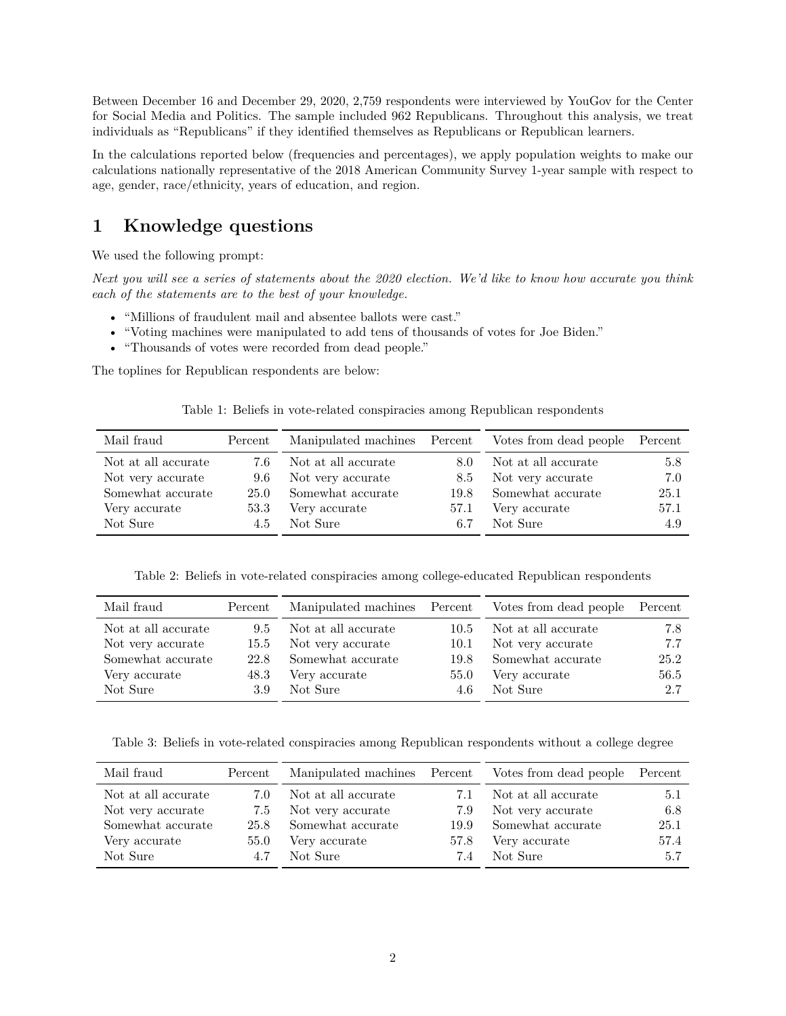Between December 16 and December 29, 2020, 2,759 respondents were interviewed by YouGov for the Center for Social Media and Politics. The sample included 962 Republicans. Throughout this analysis, we treat individuals as "Republicans" if they identified themselves as Republicans or Republican learners.

In the calculations reported below (frequencies and percentages), we apply population weights to make our calculations nationally representative of the 2018 American Community Survey 1-year sample with respect to age, gender, race/ethnicity, years of education, and region.

#### <span id="page-1-0"></span>**1 Knowledge questions**

We used the following prompt:

*Next you will see a series of statements about the 2020 election. We'd like to know how accurate you think each of the statements are to the best of your knowledge.*

- "Millions of fraudulent mail and absentee ballots were cast."
- "Voting machines were manipulated to add tens of thousands of votes for Joe Biden."
- "Thousands of votes were recorded from dead people."

<span id="page-1-1"></span>The toplines for Republican respondents are below:

|  | Table 1: Beliefs in vote-related conspiracies among Republican respondents |  |  |
|--|----------------------------------------------------------------------------|--|--|
|  |                                                                            |  |  |

| Mail fraud          | Percent | Manipulated machines Percent |      | Votes from dead people | Percent |
|---------------------|---------|------------------------------|------|------------------------|---------|
| Not at all accurate | 7.6     | Not at all accurate          | 8.0  | Not at all accurate    | 5.8     |
| Not very accurate   | 9.6     | Not very accurate            | 8.5  | Not very accurate      | 7.0     |
| Somewhat accurate   | 25.0    | Somewhat accurate            | 19.8 | Somewhat accurate      | 25.1    |
| Very accurate       | 53.3    | Very accurate                | 57.1 | Very accurate          | 57.1    |
| Not Sure            | 4.5     | Not Sure                     | 6.7  | Not Sure               | 4.9     |

Table 2: Beliefs in vote-related conspiracies among college-educated Republican respondents

<span id="page-1-2"></span>

| Mail fraud          | Percent | Manipulated machines Percent |      | Votes from dead people | Percent |
|---------------------|---------|------------------------------|------|------------------------|---------|
| Not at all accurate | 9.5     | Not at all accurate          | 10.5 | Not at all accurate    | 7.8     |
| Not very accurate   | 15.5    | Not very accurate            | 10.1 | Not very accurate      | 7.7     |
| Somewhat accurate   | 22.8    | Somewhat accurate            | 19.8 | Somewhat accurate      | 25.2    |
| Very accurate       | 48.3    | Very accurate                | 55.0 | Very accurate          | 56.5    |
| Not Sure            | 3.9     | Not Sure                     | 4.6  | Not Sure               | 2.7     |

<span id="page-1-3"></span>Table 3: Beliefs in vote-related conspiracies among Republican respondents without a college degree

| Mail fraud          | Percent | Manipulated machines Percent |      | Votes from dead people | Percent |
|---------------------|---------|------------------------------|------|------------------------|---------|
| Not at all accurate | 7.0     | Not at all accurate          | 7.1  | Not at all accurate    | 5.1     |
| Not very accurate   | 7.5     | Not very accurate            | 7.9  | Not very accurate      | 6.8     |
| Somewhat accurate   | 25.8    | Somewhat accurate            | 19.9 | Somewhat accurate      | 25.1    |
| Very accurate       | 55.0    | Very accurate                | 57.8 | Very accurate          | 57.4    |
| Not Sure            | 4.7     | Not Sure                     | 7.4  | Not Sure               | 5.7     |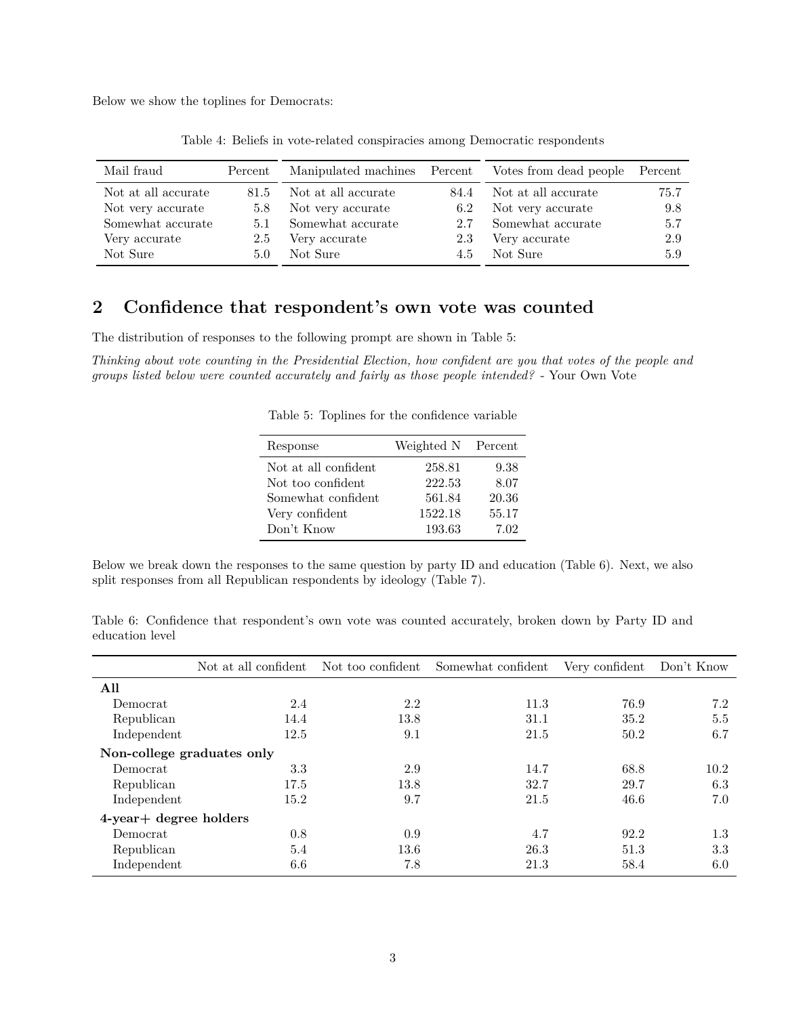<span id="page-2-1"></span>Below we show the toplines for Democrats:

| Mail fraud          | Percent | Manipulated machines Percent |      | Votes from dead people Percent |      |
|---------------------|---------|------------------------------|------|--------------------------------|------|
|                     |         |                              |      |                                |      |
| Not at all accurate | 81.5    | Not at all accurate          | 84.4 | Not at all accurate            | 75.7 |
| Not very accurate   | 5.8     | Not very accurate            | 6.2  | Not very accurate              | 9.8  |
| Somewhat accurate   | 5.1     | Somewhat accurate            | 2.7  | Somewhat accurate              | 5.7  |
| Very accurate       | 2.5     | Very accurate                | 2.3  | Very accurate                  | 2.9  |
| Not Sure            | 5.0     | Not Sure                     | 4.5  | Not Sure                       | 5.9  |
|                     |         |                              |      |                                |      |

Table 4: Beliefs in vote-related conspiracies among Democratic respondents

### <span id="page-2-0"></span>**2 Confidence that respondent's own vote was counted**

The distribution of responses to the following prompt are shown in Table [5:](#page-2-2)

<span id="page-2-2"></span>*Thinking about vote counting in the Presidential Election, how confident are you that votes of the people and groups listed below were counted accurately and fairly as those people intended?* - Your Own Vote

Table 5: Toplines for the confidence variable

| Response             | Weighted N Percent |       |
|----------------------|--------------------|-------|
| Not at all confident | 258.81             | 9.38  |
| Not too confident    | 222.53             | 8.07  |
| Somewhat confident   | 561.84             | 20.36 |
| Very confident       | 1522.18            | 55.17 |
| Don't Know           | 193.63             | 7.02  |

Below we break down the responses to the same question by party ID and education (Table [6\)](#page-2-3). Next, we also split responses from all Republican respondents by ideology (Table [7\)](#page-3-1).

<span id="page-2-3"></span>

|                 |  | Table 6: Confidence that respondent's own vote was counted accurately, broken down by Party ID and |  |  |  |  |  |  |
|-----------------|--|----------------------------------------------------------------------------------------------------|--|--|--|--|--|--|
| education level |  |                                                                                                    |  |  |  |  |  |  |

|                              | Not at all confident Not too confident |      | Somewhat confident | Very confident | Don't Know |
|------------------------------|----------------------------------------|------|--------------------|----------------|------------|
| All                          |                                        |      |                    |                |            |
| Democrat                     | 2.4                                    | 2.2  | 11.3               | 76.9           | 7.2        |
| Republican                   | 14.4                                   | 13.8 | 31.1               | 35.2           | 5.5        |
| Independent                  | 12.5                                   | 9.1  | 21.5               | 50.2           | 6.7        |
| Non-college graduates only   |                                        |      |                    |                |            |
| Democrat                     | 3.3                                    | 2.9  | 14.7               | 68.8           | 10.2       |
| Republican                   | 17.5                                   | 13.8 | 32.7               | 29.7           | 6.3        |
| Independent                  | 15.2                                   | 9.7  | 21.5               | 46.6           | 7.0        |
| $4$ -year $+$ degree holders |                                        |      |                    |                |            |
| Democrat                     | 0.8                                    | 0.9  | 4.7                | 92.2           | $1.3\,$    |
| Republican                   | 5.4                                    | 13.6 | 26.3               | 51.3           | 3.3        |
| Independent                  | 6.6                                    | 7.8  | 21.3               | 58.4           | 6.0        |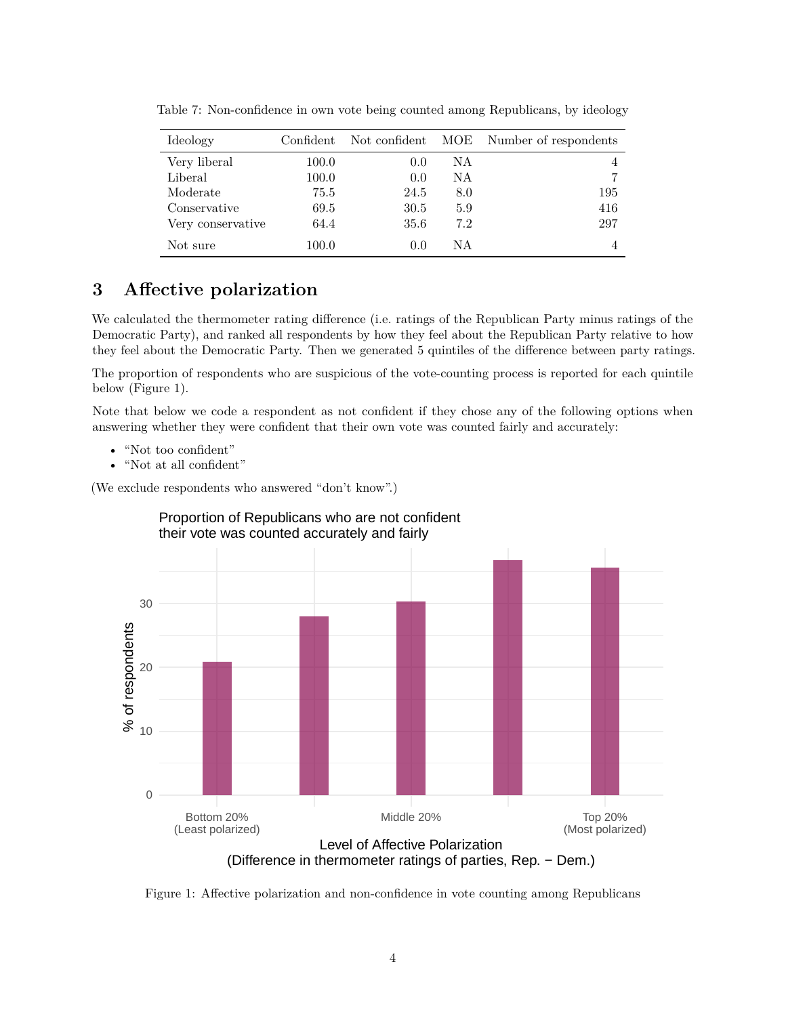| Ideology          | Confident | Not confident | MOE | Number of respondents |
|-------------------|-----------|---------------|-----|-----------------------|
| Very liberal      | 100.0     | 0.0           | NA. | 4                     |
| Liberal           | 100.0     | 0.0           | NA. |                       |
| Moderate          | 75.5      | 24.5          | 8.0 | 195                   |
| Conservative      | 69.5      | 30.5          | 5.9 | 416                   |
| Very conservative | 64.4      | 35.6          | 7.2 | 297                   |
| Not sure          | 100.0     | 0.0           | ΝA  |                       |

<span id="page-3-1"></span>Table 7: Non-confidence in own vote being counted among Republicans, by ideology

### <span id="page-3-0"></span>**3 Affective polarization**

We calculated the thermometer rating difference (i.e. ratings of the Republican Party minus ratings of the Democratic Party), and ranked all respondents by how they feel about the Republican Party relative to how they feel about the Democratic Party. Then we generated 5 quintiles of the difference between party ratings.

The proportion of respondents who are suspicious of the vote-counting process is reported for each quintile below (Figure [1\)](#page-3-2).

Note that below we code a respondent as not confident if they chose any of the following options when answering whether they were confident that their own vote was counted fairly and accurately:

- "Not too confident"
- "Not at all confident"

(We exclude respondents who answered "don't know".)



<span id="page-3-2"></span>Figure 1: Affective polarization and non-confidence in vote counting among Republicans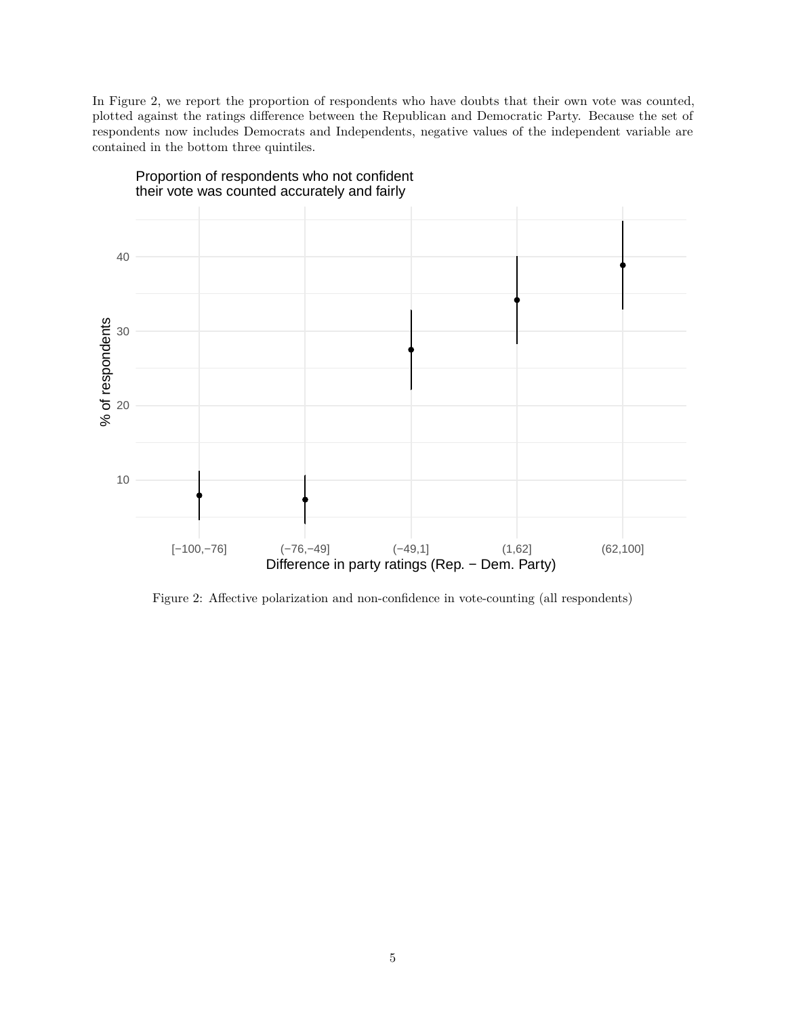In Figure [2,](#page-4-0) we report the proportion of respondents who have doubts that their own vote was counted, plotted against the ratings difference between the Republican and Democratic Party. Because the set of respondents now includes Democrats and Independents, negative values of the independent variable are contained in the bottom three quintiles.



<span id="page-4-0"></span>Figure 2: Affective polarization and non-confidence in vote-counting (all respondents)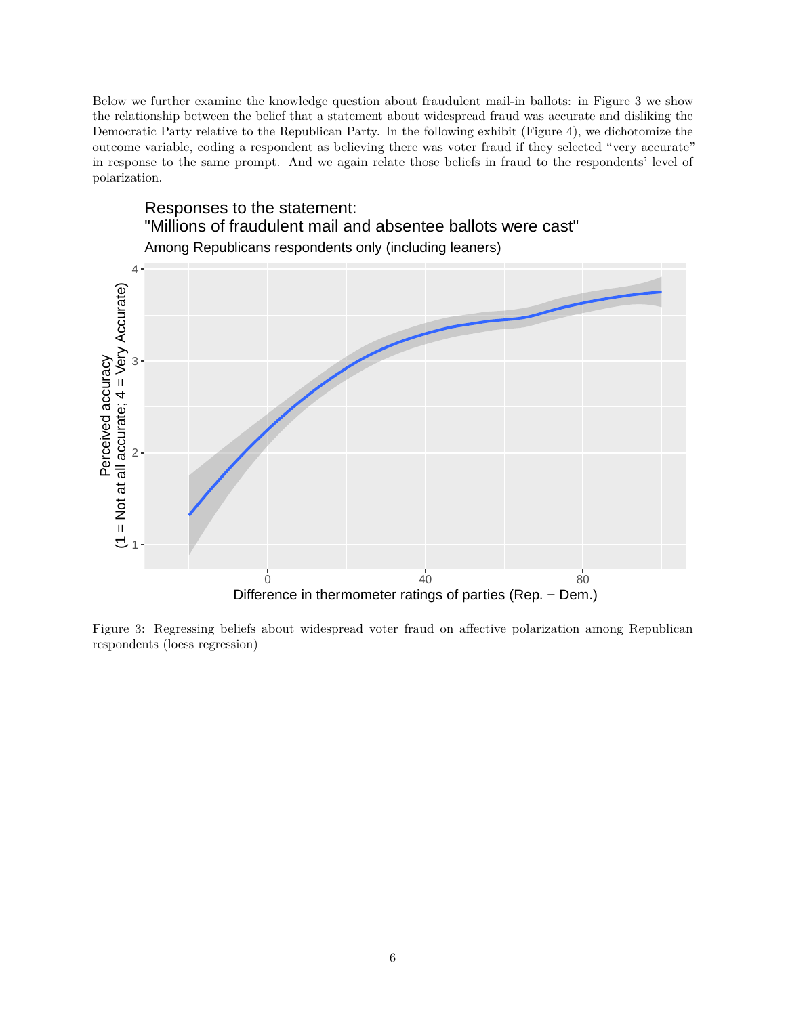Below we further examine the knowledge question about fraudulent mail-in ballots: in Figure [3](#page-5-0) we show the relationship between the belief that a statement about widespread fraud was accurate and disliking the Democratic Party relative to the Republican Party. In the following exhibit (Figure [4\)](#page-6-0), we dichotomize the outcome variable, coding a respondent as believing there was voter fraud if they selected "very accurate" in response to the same prompt. And we again relate those beliefs in fraud to the respondents' level of polarization.



<span id="page-5-0"></span>Figure 3: Regressing beliefs about widespread voter fraud on affective polarization among Republican respondents (loess regression)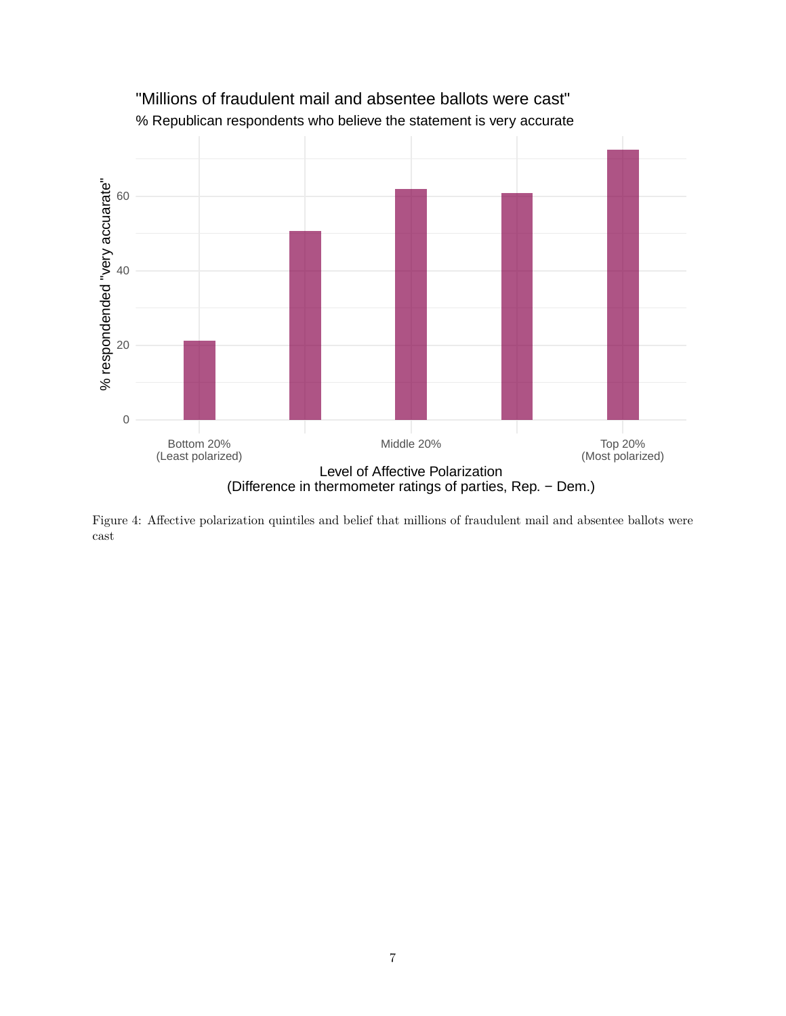

% Republican respondents who believe the statement is very accurate "Millions of fraudulent mail and absentee ballots were cast"

<span id="page-6-0"></span>Figure 4: Affective polarization quintiles and belief that millions of fraudulent mail and absentee ballots were cast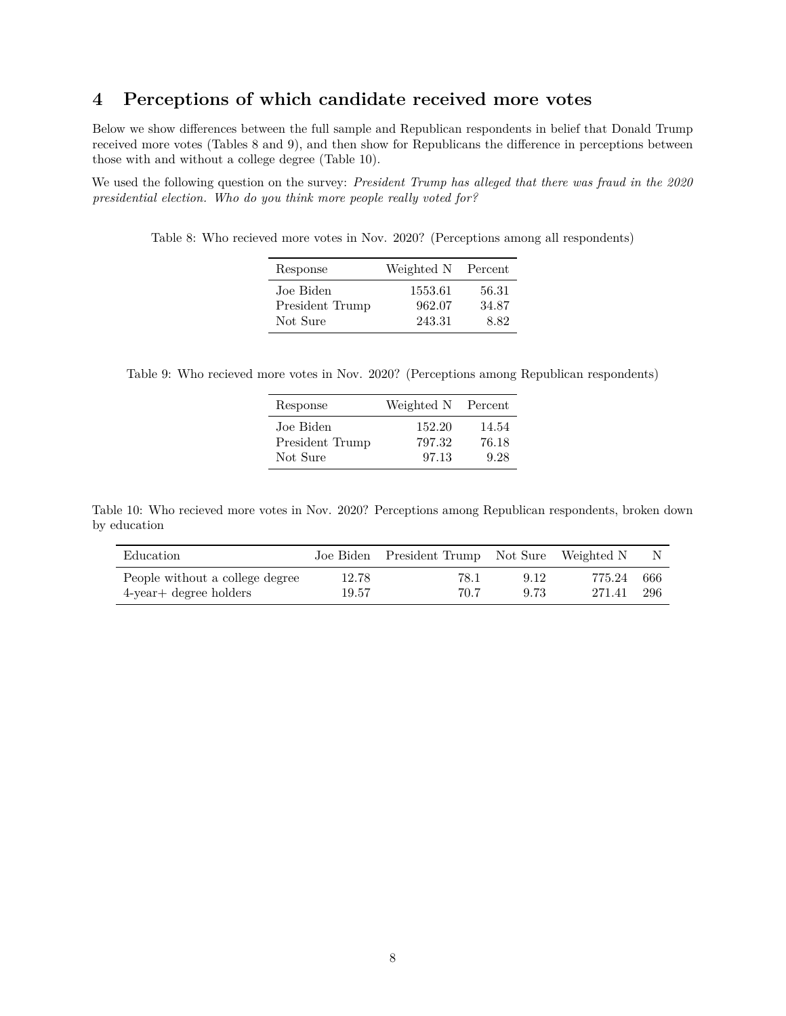#### <span id="page-7-0"></span>**4 Perceptions of which candidate received more votes**

Below we show differences between the full sample and Republican respondents in belief that Donald Trump received more votes (Tables [8](#page-7-1) and [9\)](#page-7-2), and then show for Republicans the difference in perceptions between those with and without a college degree (Table [10\)](#page-7-3).

<span id="page-7-1"></span>We used the following question on the survey: *President Trump has alleged that there was fraud in the 2020 presidential election. Who do you think more people really voted for?*

Table 8: Who recieved more votes in Nov. 2020? (Perceptions among all respondents)

| Response        | Weighted N | Percent |
|-----------------|------------|---------|
| Joe Biden       | 1553.61    | 56.31   |
| President Trump | 962.07     | 34.87   |
| Not Sure        | 243.31     | 8.82    |

<span id="page-7-2"></span>Table 9: Who recieved more votes in Nov. 2020? (Perceptions among Republican respondents)

| Response        | Weighted N | Percent |
|-----------------|------------|---------|
| Joe Biden       | 152.20     | 14.54   |
| President Trump | 797.32     | 76.18   |
| Not Sure        | 97.13      | 9.28    |

<span id="page-7-3"></span>Table 10: Who recieved more votes in Nov. 2020? Perceptions among Republican respondents, broken down by education

| Education                       |       | Joe Biden President Trump Not Sure Weighted N |      |        | N.    |
|---------------------------------|-------|-----------------------------------------------|------|--------|-------|
| People without a college degree | 12.78 | 78.1                                          | 9.12 | 775.24 | - 666 |
| $4$ -year $+$ degree holders    | 19.57 | 70.7                                          | 9.73 | 271.41 | -296  |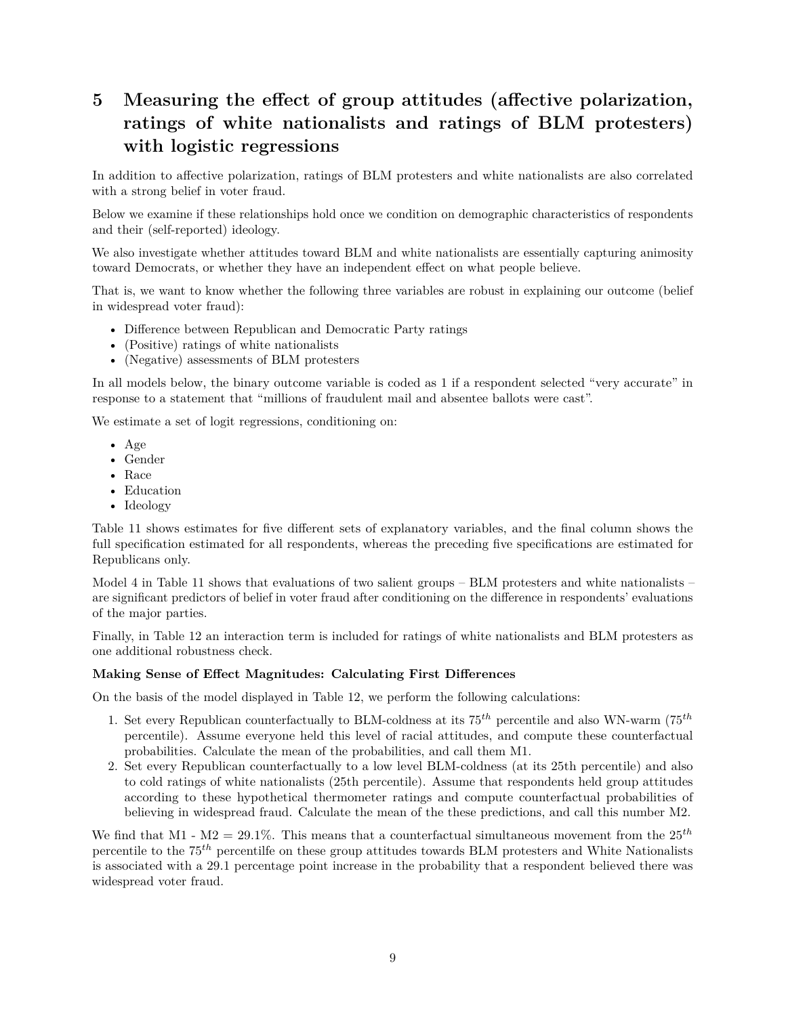# <span id="page-8-0"></span>**5 Measuring the effect of group attitudes (affective polarization, ratings of white nationalists and ratings of BLM protesters) with logistic regressions**

In addition to affective polarization, ratings of BLM protesters and white nationalists are also correlated with a strong belief in voter fraud.

Below we examine if these relationships hold once we condition on demographic characteristics of respondents and their (self-reported) ideology.

We also investigate whether attitudes toward BLM and white nationalists are essentially capturing animosity toward Democrats, or whether they have an independent effect on what people believe.

That is, we want to know whether the following three variables are robust in explaining our outcome (belief in widespread voter fraud):

- Difference between Republican and Democratic Party ratings
- (Positive) ratings of white nationalists
- (Negative) assessments of BLM protesters

In all models below, the binary outcome variable is coded as 1 if a respondent selected "very accurate" in response to a statement that "millions of fraudulent mail and absentee ballots were cast".

We estimate a set of logit regressions, conditioning on:

- Age
- Gender
- Race
- Education
- Ideology

Table [11](#page-9-0) shows estimates for five different sets of explanatory variables, and the final column shows the full specification estimated for all respondents, whereas the preceding five specifications are estimated for Republicans only.

Model 4 in Table [11](#page-9-0) shows that evaluations of two salient groups – BLM protesters and white nationalists – are significant predictors of belief in voter fraud after conditioning on the difference in respondents' evaluations of the major parties.

Finally, in Table [12](#page-10-0) an interaction term is included for ratings of white nationalists and BLM protesters as one additional robustness check.

#### **Making Sense of Effect Magnitudes: Calculating First Differences**

On the basis of the model displayed in Table [12,](#page-10-0) we perform the following calculations:

- 1. Set every Republican counterfactually to BLM-coldness at its 75*th* percentile and also WN-warm (75*th* percentile). Assume everyone held this level of racial attitudes, and compute these counterfactual probabilities. Calculate the mean of the probabilities, and call them M1.
- 2. Set every Republican counterfactually to a low level BLM-coldness (at its 25th percentile) and also to cold ratings of white nationalists (25th percentile). Assume that respondents held group attitudes according to these hypothetical thermometer ratings and compute counterfactual probabilities of believing in widespread fraud. Calculate the mean of the these predictions, and call this number M2.

We find that M1 -  $M2 = 29.1\%$ . This means that a counterfactual simultaneous movement from the  $25<sup>th</sup>$ percentile to the 75*th* percentilfe on these group attitudes towards BLM protesters and White Nationalists is associated with a 29.1 percentage point increase in the probability that a respondent believed there was widespread voter fraud.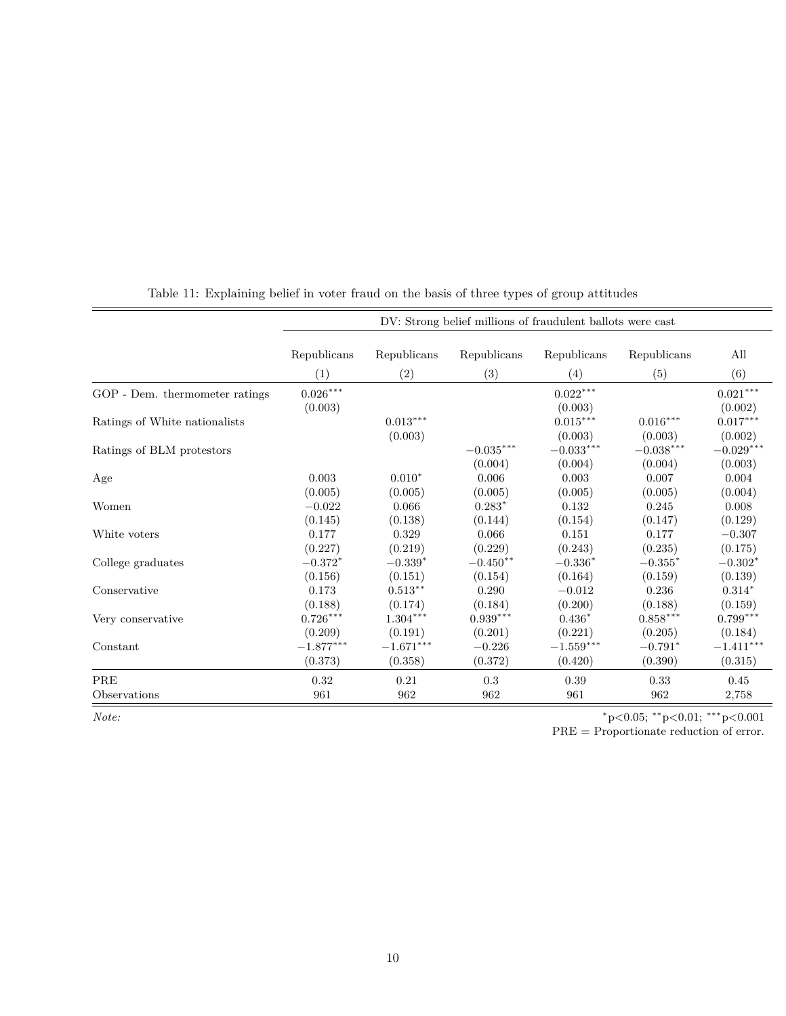<span id="page-9-0"></span>

|                                | DV: Strong belief millions of fraudulent ballots were cast |             |                        |                         |                                           |                        |
|--------------------------------|------------------------------------------------------------|-------------|------------------------|-------------------------|-------------------------------------------|------------------------|
|                                | Republicans                                                | Republicans | Republicans            | Republicans             | Republicans                               | All                    |
|                                | (1)                                                        | (2)         | (3)                    | (4)                     | (5)                                       | (6)                    |
| GOP - Dem. thermometer ratings | $0.026^{\ast\ast\ast}$                                     |             |                        | $0.022^{***}\,$         |                                           | $0.021^{\ast\ast\ast}$ |
|                                | (0.003)                                                    |             |                        | (0.003)                 |                                           | (0.002)                |
| Ratings of White nationalists  |                                                            | $0.013***$  |                        | $0.015^{\ast\ast\ast}$  | $0.016^{\ast\ast\ast}$                    | $0.017***$             |
|                                |                                                            | (0.003)     |                        | (0.003)                 | (0.003)                                   | (0.002)                |
| Ratings of BLM protestors      |                                                            |             | $-0.035^{***}\,$       | $-0.033***$             | $-0.038***$                               | $-0.029***$            |
|                                |                                                            |             | (0.004)                | (0.004)                 | (0.004)                                   | (0.003)                |
| Age                            | 0.003                                                      | $0.010*$    | 0.006                  | 0.003                   | 0.007                                     | 0.004                  |
|                                | (0.005)                                                    | (0.005)     | (0.005)                | (0.005)                 | (0.005)                                   | (0.004)                |
| Women                          | $-0.022$                                                   | 0.066       | $0.283*$               | 0.132                   | 0.245                                     | 0.008                  |
|                                | (0.145)                                                    | (0.138)     | (0.144)                | (0.154)                 | (0.147)                                   | (0.129)                |
| White voters                   | 0.177                                                      | 0.329       | 0.066                  | 0.151                   | 0.177                                     | $-0.307$               |
|                                | (0.227)                                                    | (0.219)     | (0.229)                | (0.243)                 | (0.235)                                   | (0.175)                |
| College graduates              | $-0.372*$                                                  | $-0.339*$   | $-0.450**$             | $-0.336*$               | $-0.355*$                                 | $-0.302*$              |
|                                | (0.156)                                                    | (0.151)     | (0.154)                | (0.164)                 | (0.159)                                   | (0.139)                |
| Conservative                   | 0.173                                                      | $0.513***$  | 0.290                  | $-0.012$                | 0.236                                     | $0.314*$               |
|                                | (0.188)                                                    | (0.174)     | (0.184)                | (0.200)                 | (0.188)                                   | (0.159)                |
| Very conservative              | $0.726^{\ast\ast\ast}$                                     | $1.304***$  | $0.939^{\ast\ast\ast}$ | $0.436*$                | $0.858***$                                | $0.799***$             |
|                                | (0.209)                                                    | (0.191)     | (0.201)                | (0.221)                 | (0.205)                                   | (0.184)                |
| Constant                       | $-1.877^{\ast\ast\ast}$                                    | $-1.671***$ | $-0.226$               | $-1.559^{\ast\ast\ast}$ | $-0.791*$                                 | $-1.411***$            |
|                                | (0.373)                                                    | (0.358)     | (0.372)                | (0.420)                 | (0.390)                                   | (0.315)                |
| PRE                            | 0.32                                                       | 0.21        | $\rm 0.3$              | 0.39                    | 0.33                                      | 0.45                   |
| Observations                   | 961                                                        | 962         | 962                    | 961                     | 962                                       | 2,758                  |
| Note:                          |                                                            |             |                        |                         | $*_{p<0.05;}$ $*_{p<0.01;}$ $*_{p<0.001}$ |                        |

Table 11: Explaining belief in voter fraud on the basis of three types of group attitudes

PRE = Proportionate reduction of error.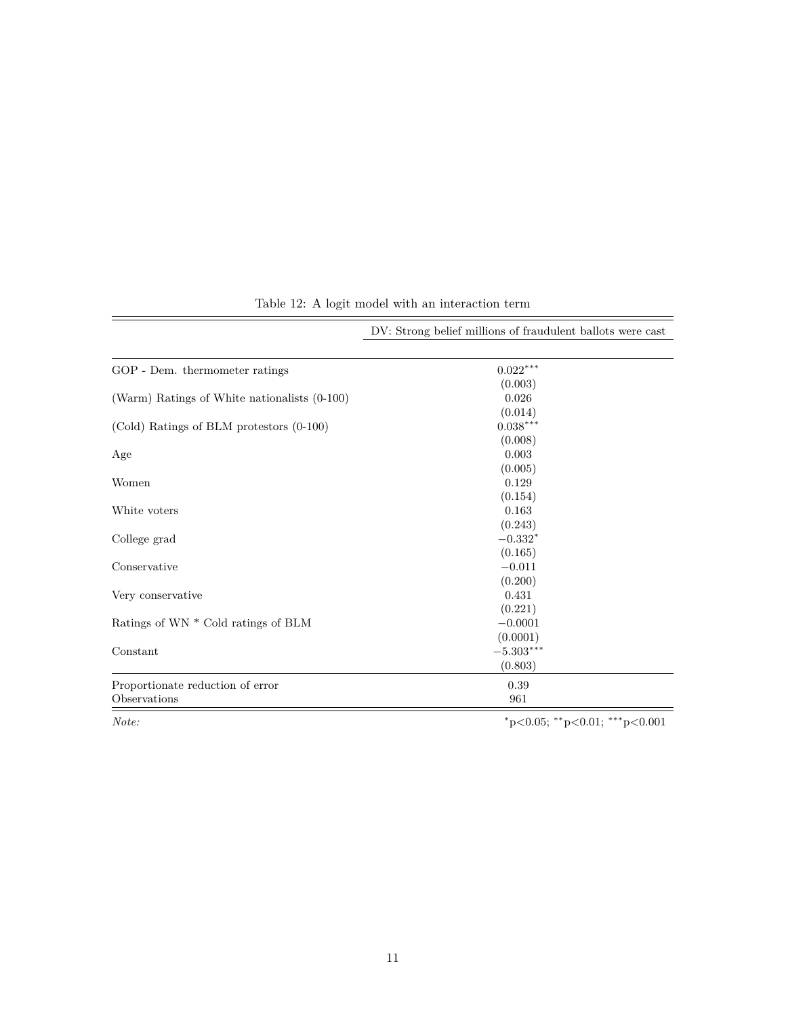<span id="page-10-0"></span>

|                                              | DV: Strong belief millions of fraudulent ballots were cast |
|----------------------------------------------|------------------------------------------------------------|
| GOP - Dem. thermometer ratings               | $0.022***$                                                 |
|                                              | (0.003)                                                    |
| (Warm) Ratings of White nationalists (0-100) | 0.026                                                      |
|                                              | (0.014)                                                    |
| (Cold) Ratings of BLM protestors (0-100)     | $0.038***$                                                 |
|                                              | (0.008)                                                    |
| Age                                          | 0.003                                                      |
|                                              | (0.005)                                                    |
| Women                                        | 0.129                                                      |
|                                              | (0.154)                                                    |
| White voters                                 | 0.163                                                      |
|                                              | (0.243)                                                    |
| College grad                                 | $-0.332*$                                                  |
|                                              | (0.165)                                                    |
| Conservative                                 | $-0.011$                                                   |
|                                              | (0.200)                                                    |
| Very conservative                            | 0.431                                                      |
|                                              | (0.221)                                                    |
| Ratings of WN * Cold ratings of BLM          | $-0.0001$                                                  |
|                                              | (0.0001)                                                   |
| Constant                                     | $-5.303***$                                                |
|                                              | (0.803)                                                    |
| Proportionate reduction of error             | 0.39                                                       |
| Observations                                 | 961                                                        |
| Note:                                        | $*_{p<0.05;}$ $*_{p<0.01;}$ $*_{p<0.001}$                  |

Table 12: A logit model with an interaction term